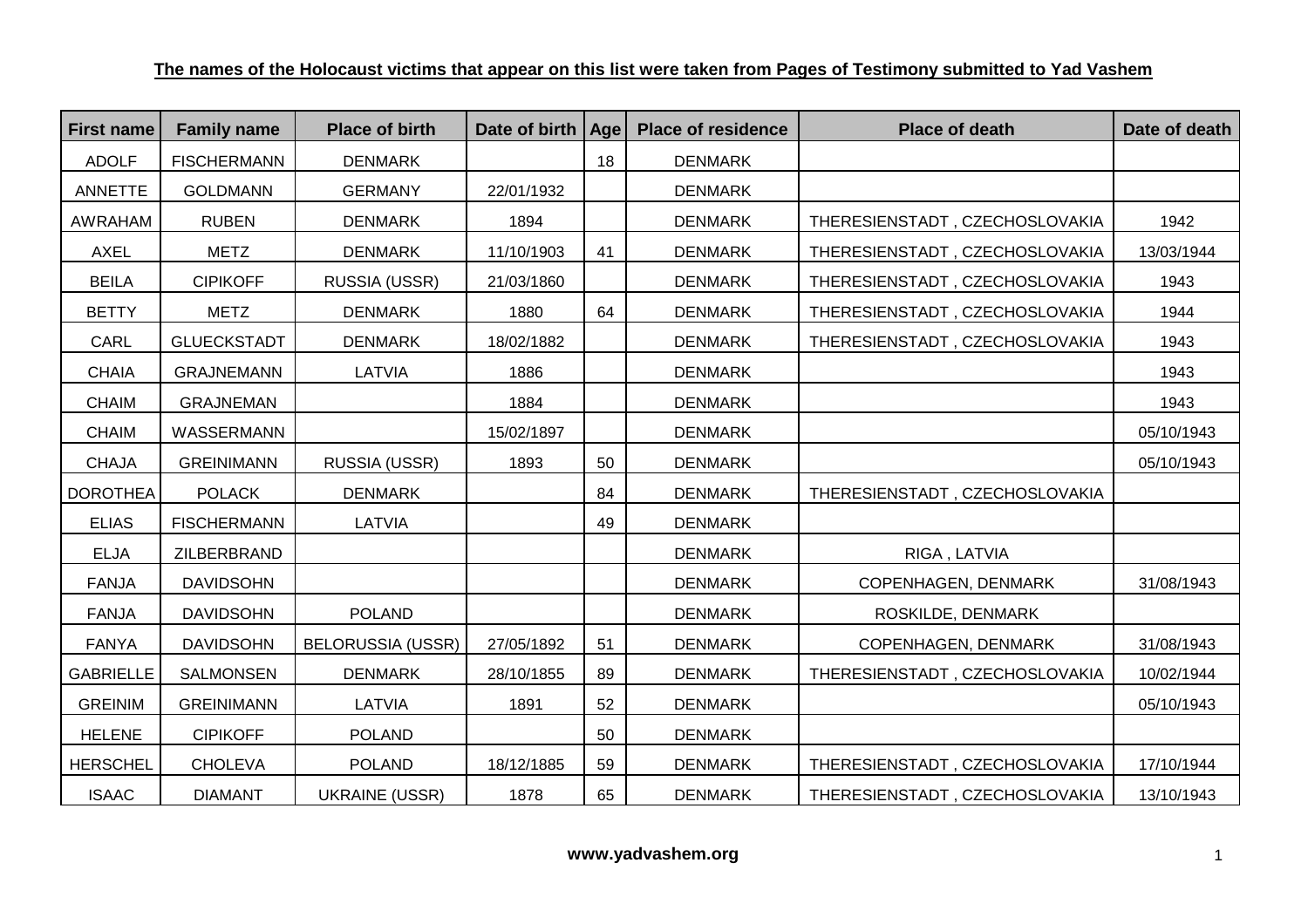| <b>First name</b> | <b>Family name</b> | <b>Place of birth</b>    | Date of birth | Age | <b>Place of residence</b> | <b>Place of death</b>          | Date of death |
|-------------------|--------------------|--------------------------|---------------|-----|---------------------------|--------------------------------|---------------|
| <b>ADOLF</b>      | <b>FISCHERMANN</b> | <b>DENMARK</b>           |               | 18  | <b>DENMARK</b>            |                                |               |
| <b>ANNETTE</b>    | <b>GOLDMANN</b>    | <b>GERMANY</b>           | 22/01/1932    |     | <b>DENMARK</b>            |                                |               |
| AWRAHAM           | <b>RUBEN</b>       | <b>DENMARK</b>           | 1894          |     | <b>DENMARK</b>            | THERESIENSTADT, CZECHOSLOVAKIA | 1942          |
| AXEL              | METZ               | <b>DENMARK</b>           | 11/10/1903    | 41  | <b>DENMARK</b>            | THERESIENSTADT, CZECHOSLOVAKIA | 13/03/1944    |
| <b>BEILA</b>      | <b>CIPIKOFF</b>    | RUSSIA (USSR)            | 21/03/1860    |     | <b>DENMARK</b>            | THERESIENSTADT, CZECHOSLOVAKIA | 1943          |
| <b>BETTY</b>      | <b>METZ</b>        | <b>DENMARK</b>           | 1880          | 64  | <b>DENMARK</b>            | THERESIENSTADT, CZECHOSLOVAKIA | 1944          |
| CARL              | <b>GLUECKSTADT</b> | <b>DENMARK</b>           | 18/02/1882    |     | <b>DENMARK</b>            | THERESIENSTADT, CZECHOSLOVAKIA | 1943          |
| <b>CHAIA</b>      | <b>GRAJNEMANN</b>  | LATVIA                   | 1886          |     | <b>DENMARK</b>            |                                | 1943          |
| <b>CHAIM</b>      | <b>GRAJNEMAN</b>   |                          | 1884          |     | <b>DENMARK</b>            |                                | 1943          |
| <b>CHAIM</b>      | WASSERMANN         |                          | 15/02/1897    |     | <b>DENMARK</b>            |                                | 05/10/1943    |
| <b>CHAJA</b>      | <b>GREINIMANN</b>  | RUSSIA (USSR)            | 1893          | 50  | <b>DENMARK</b>            |                                | 05/10/1943    |
| <b>DOROTHEA</b>   | <b>POLACK</b>      | <b>DENMARK</b>           |               | 84  | <b>DENMARK</b>            | THERESIENSTADT, CZECHOSLOVAKIA |               |
| <b>ELIAS</b>      | <b>FISCHERMANN</b> | LATVIA                   |               | 49  | <b>DENMARK</b>            |                                |               |
| <b>ELJA</b>       | ZILBERBRAND        |                          |               |     | <b>DENMARK</b>            | RIGA, LATVIA                   |               |
| <b>FANJA</b>      | <b>DAVIDSOHN</b>   |                          |               |     | <b>DENMARK</b>            | COPENHAGEN, DENMARK            | 31/08/1943    |
| <b>FANJA</b>      | <b>DAVIDSOHN</b>   | <b>POLAND</b>            |               |     | <b>DENMARK</b>            | ROSKILDE, DENMARK              |               |
| <b>FANYA</b>      | <b>DAVIDSOHN</b>   | <b>BELORUSSIA (USSR)</b> | 27/05/1892    | 51  | <b>DENMARK</b>            | COPENHAGEN, DENMARK            | 31/08/1943    |
| <b>GABRIELLE</b>  | SALMONSEN          | <b>DENMARK</b>           | 28/10/1855    | 89  | <b>DENMARK</b>            | THERESIENSTADT, CZECHOSLOVAKIA | 10/02/1944    |
| <b>GREINIM</b>    | <b>GREINIMANN</b>  | LATVIA                   | 1891          | 52  | <b>DENMARK</b>            |                                | 05/10/1943    |
| <b>HELENE</b>     | <b>CIPIKOFF</b>    | <b>POLAND</b>            |               | 50  | <b>DENMARK</b>            |                                |               |
| <b>HERSCHEL</b>   | <b>CHOLEVA</b>     | <b>POLAND</b>            | 18/12/1885    | 59  | <b>DENMARK</b>            | THERESIENSTADT, CZECHOSLOVAKIA | 17/10/1944    |
| <b>ISAAC</b>      | <b>DIAMANT</b>     | <b>UKRAINE (USSR)</b>    | 1878          | 65  | <b>DENMARK</b>            | THERESIENSTADT, CZECHOSLOVAKIA | 13/10/1943    |